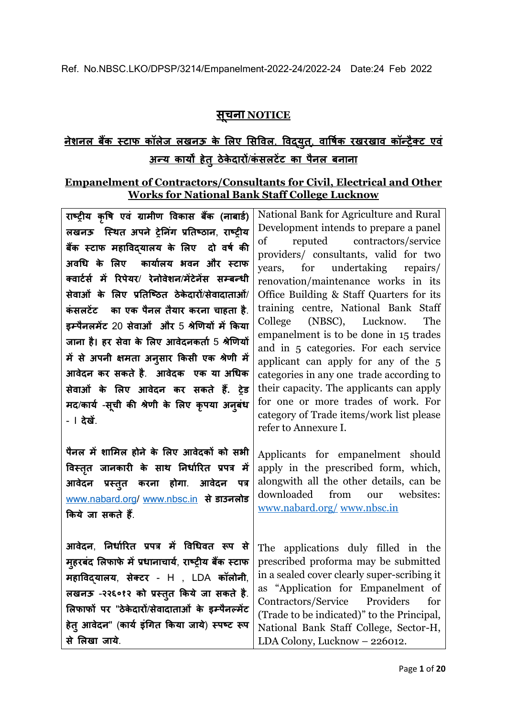# **सच ू ना NOTICE**

# **नेशनल बैंक स्टाफ कॉलेज लखनऊ के ललए लसविल**, **विद्युत**, **् िावषिक रखरखाि कॉन्ट्रैक्ट एिं अन्ट्य कायों हेतुठेके दारों**/**कं सलटेंट का पैनल बनाना**

### **Empanelment of Contractors/Consultants for Civil, Electrical and Other Works for National Bank Staff College Lucknow**

**राष्ट्रीय कृवष एिं ग्रामीण विकास बैंक (नाबार्ि) लखनऊ स्स्ित अपने रेनन ंग प्रनतष्ट्ठान**, **राष्ट्रीय बैंक स्टाफ महाविद्यालय के ललए दो िषि की अिधि के ललए कायािलय भिन और स्टाफ क्िाटिसि में ररपेयर**/ **रेनोिेशन**/**मेंटेनेंस सम्बन्ट्िी सेिाओं के ललए प्रनतस्ष्ट्ठत ठेके दारों**/**सेिादाताओं**/ **कं सलटेंट का एक पैनल तैयार करना चाहता है**. **इम्पैनलमेंट** 20 **सेिाओं और** 5 **श्रेणणयों में ककया जाना है। हर सेिा के ललए आिेदनकताि** 5 **श्रेणणयों में से अपनी क्षमता अनसु ार ककसी एक श्रेणी में आिेदन कर सकते है**. **आिेदक एक या अधिक सेिाओं के ललए आिेदन कर सकते हैं. रेर् मद**/**कायि** -**सचू ी की श्रेणी के ललए कृपया अनबुिं** - I **देखें**.

**पैनल मेंशालमल होने के ललए आिेदकों को सभी विस्ततृ जानकारी के साि ननिािररत प्रपत्र में आिेदन प्रस्ततु करना होगा**. **आिेदन पत्र** [www.nabard.org/](http://www.nabard.org/) [www.nbsc.in](http://www.nbsc.in/) से **डाउनलोड ककयेजा सकते हैं**.

**आिेदन**, **ननिािररत प्रपत्र में विधिित रूप से महुरबदं ललफाफे मेंप्रिानाचायि**, **राष्ट्रीय बैंक स्टाफ महाविद्यालय**, **सेक्टर** - H , LDA **कॉलोनी**, **लखनऊ** -**२२६०१२ को प्रस्ततु ककये जा सकते है**. **ललफाफों पर** "**ठेके दारों**/**सेिादाताओं के इम्पैनल्मेंट हेतुआिेदन**" (**कायि इंधगत ककया जाये**) **स्पष्ट्ट रूप सेललखा जाये**.

National Bank for Agriculture and Rural Development intends to prepare a panel of reputed contractors/service providers/ consultants, valid for two years, for undertaking repairs/ renovation/maintenance works in its Office Building & Staff Quarters for its training centre, National Bank Staff College (NBSC), Lucknow. The empanelment is to be done in 15 trades and in 5 categories. For each service applicant can apply for any of the 5 categories in any one trade according to their capacity. The applicants can apply for one or more trades of work. For category of Trade items/work list please refer to Annexure I.

Applicants for empanelment should apply in the prescribed form, which, alongwith all the other details, can be downloaded from our websites: [www.nabard.org/](http://www.nabard.org/) [www.nbsc.in](http://www.nbsc.in/)

The applications duly filled in the prescribed proforma may be submitted in a sealed cover clearly super-scribing it as "Application for Empanelment of Contractors/Service Providers for (Trade to be indicated)" to the Principal, National Bank Staff College, Sector-H, LDA Colony, Lucknow – 226012.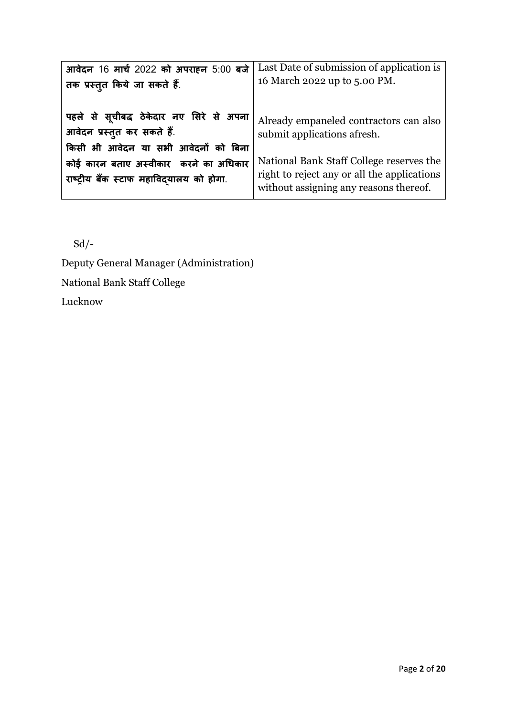| आवेदन 16 मार्च 2022 को अपराहन 5:00 बजे   | Last Date of submission of application is   |
|------------------------------------------|---------------------------------------------|
| तक प्रस्तुत किये जा सकते हैं.            | 16 March 2022 up to 5.00 PM.                |
| पहले से सूचीबद्ध ठेकेदार नए सिरे से अपना | Already empaneled contractors can also      |
| आवेदन प्रस्तुत कर सकते हैं.              | submit applications afresh.                 |
| किसी भी आवेदन या सभी आवेदनों को बिना     | National Bank Staff College reserves the    |
| कोई कारन बताए अस्वीकार करने का अधिकार    | right to reject any or all the applications |
| राष्ट्रीय बैंक स्टाफ महाविदयालय को होगा. | without assigning any reasons thereof.      |

Sd/-

Deputy General Manager (Administration) National Bank Staff College Lucknow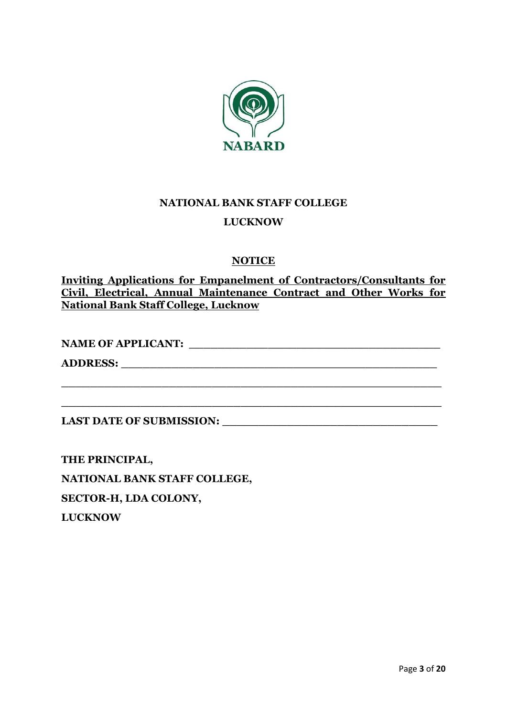

# **NATIONAL BANK STAFF COLLEGE LUCKNOW**

# **NOTICE**

**Inviting Applications for Empanelment of Contractors/Consultants for Civil, Electrical, Annual Maintenance Contract and Other Works for National Bank Staff College, Lucknow** 

**NAME OF APPLICANT: \_\_\_\_\_\_\_\_\_\_\_\_\_\_\_\_\_\_\_\_\_\_\_\_\_\_\_\_\_\_\_\_\_\_\_**

**\_\_\_\_\_\_\_\_\_\_\_\_\_\_\_\_\_\_\_\_\_\_\_\_\_\_\_\_\_\_\_\_\_\_\_\_\_\_\_\_\_\_\_\_\_\_\_\_\_\_\_\_\_**

**\_\_\_\_\_\_\_\_\_\_\_\_\_\_\_\_\_\_\_\_\_\_\_\_\_\_\_\_\_\_\_\_\_\_\_\_\_\_\_\_\_\_\_\_\_\_\_\_\_\_\_\_\_**

**ADDRESS: \_\_\_\_\_\_\_\_\_\_\_\_\_\_\_\_\_\_\_\_\_\_\_\_\_\_\_\_\_\_\_\_\_\_\_\_\_\_\_\_\_\_\_\_**

**LAST DATE OF SUBMISSION: \_\_\_\_\_\_\_\_\_\_\_\_\_\_\_\_\_\_\_\_\_\_\_\_\_\_\_\_\_\_**

**THE PRINCIPAL, NATIONAL BANK STAFF COLLEGE, SECTOR-H, LDA COLONY, LUCKNOW**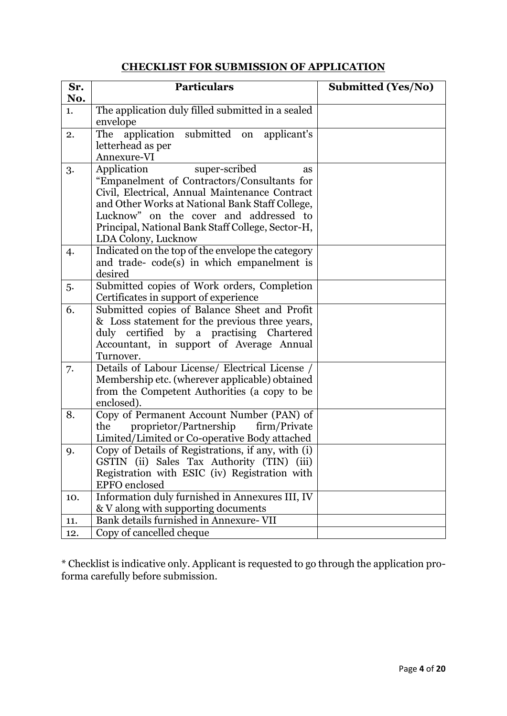# **CHECKLIST FOR SUBMISSION OF APPLICATION**

| Sr. | <b>Particulars</b>                                                                      | <b>Submitted (Yes/No)</b> |
|-----|-----------------------------------------------------------------------------------------|---------------------------|
| No. |                                                                                         |                           |
| 1.  | The application duly filled submitted in a sealed                                       |                           |
|     | envelope                                                                                |                           |
| 2.  | submitted on<br>application<br>applicant's<br>The                                       |                           |
|     | letterhead as per                                                                       |                           |
|     | Annexure-VI                                                                             |                           |
| 3.  | Application<br>super-scribed<br>as<br>"Empanelment of Contractors/Consultants for       |                           |
|     | Civil, Electrical, Annual Maintenance Contract                                          |                           |
|     | and Other Works at National Bank Staff College,                                         |                           |
|     | Lucknow" on the cover and addressed to                                                  |                           |
|     | Principal, National Bank Staff College, Sector-H,                                       |                           |
|     | LDA Colony, Lucknow                                                                     |                           |
| 4.  | Indicated on the top of the envelope the category                                       |                           |
|     | and trade-code(s) in which empanelment is                                               |                           |
|     | desired                                                                                 |                           |
| 5.  | Submitted copies of Work orders, Completion                                             |                           |
| 6.  | Certificates in support of experience<br>Submitted copies of Balance Sheet and Profit   |                           |
|     | & Loss statement for the previous three years,                                          |                           |
|     | duly certified by a practising Chartered                                                |                           |
|     | Accountant, in support of Average Annual                                                |                           |
|     | Turnover.                                                                               |                           |
| 7.  | Details of Labour License/ Electrical License /                                         |                           |
|     | Membership etc. (wherever applicable) obtained                                          |                           |
|     | from the Competent Authorities (a copy to be                                            |                           |
|     | enclosed).                                                                              |                           |
| 8.  | Copy of Permanent Account Number (PAN) of<br>the                                        |                           |
|     | proprietor/Partnership<br>firm/Private<br>Limited/Limited or Co-operative Body attached |                           |
| 9.  | Copy of Details of Registrations, if any, with (i)                                      |                           |
|     | GSTIN (ii) Sales Tax Authority (TIN) (iii)                                              |                           |
|     | Registration with ESIC (iv) Registration with                                           |                           |
|     | <b>EPFO</b> enclosed                                                                    |                           |
| 10. | Information duly furnished in Annexures III, IV                                         |                           |
|     | & V along with supporting documents                                                     |                           |
| 11. | Bank details furnished in Annexure-VII                                                  |                           |
| 12. | Copy of cancelled cheque                                                                |                           |

\* Checklist is indicative only. Applicant is requested to go through the application proforma carefully before submission.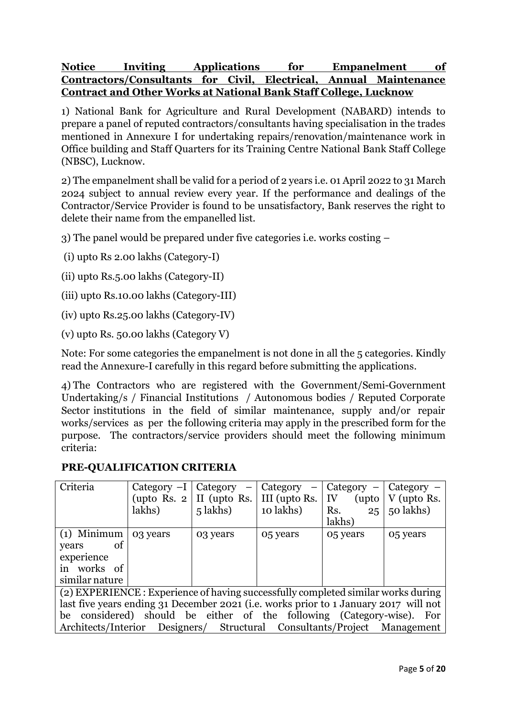## **Notice Inviting Applications for Empanelment of Contractors/Consultants for Civil, Electrical, Annual Maintenance Contract and Other Works at National Bank Staff College, Lucknow**

1) National Bank for Agriculture and Rural Development (NABARD) intends to prepare a panel of reputed contractors/consultants having specialisation in the trades mentioned in Annexure I for undertaking repairs/renovation/maintenance work in Office building and Staff Quarters for its Training Centre National Bank Staff College (NBSC), Lucknow.

2) The empanelment shall be valid for a period of 2 years i.e. 01 April 2022 to 31 March 2024 subject to annual review every year. If the performance and dealings of the Contractor/Service Provider is found to be unsatisfactory, Bank reserves the right to delete their name from the empanelled list.

3) The panel would be prepared under five categories i.e. works costing –

(i) upto Rs 2.00 lakhs (Category-I)

(ii) upto Rs.5.00 lakhs (Category-II)

(iii) upto Rs.10.00 lakhs (Category-III)

(iv) upto Rs.25.00 lakhs (Category-IV)

(v) upto Rs. 50.00 lakhs (Category V)

Note: For some categories the empanelment is not done in all the 5 categories. Kindly read the Annexure-I carefully in this regard before submitting the applications.

4) The Contractors who are registered with the Government/Semi-Government Undertaking/s / Financial Institutions / Autonomous bodies / Reputed Corporate Sector institutions in the field of similar maintenance, supply and/or repair works/services as per the following criteria may apply in the prescribed form for the purpose. The contractors/service providers should meet the following minimum criteria:

#### **PRE-QUALIFICATION CRITERIA**

| Criteria                                                                             | Category $-I$      | Category<br>$\overline{\phantom{m}}$ | Category      | Category $-$ | $Category -$ |
|--------------------------------------------------------------------------------------|--------------------|--------------------------------------|---------------|--------------|--------------|
|                                                                                      | (upto Rs. $2 \mid$ | II (upto Rs.                         | III (upto Rs. | (upto<br>IV  | V (upto Rs.  |
|                                                                                      | lakhs)             | 5 lakhs)                             | 10 lakhs)     | Rs.<br>25    | 50 lakhs)    |
|                                                                                      |                    |                                      |               | lakhs)       |              |
| $(1)$ Minimum                                                                        | 03 years           | 03 years                             | 05 years      | 05 years     | 05 years     |
| <sub>of</sub><br>years                                                               |                    |                                      |               |              |              |
| experience                                                                           |                    |                                      |               |              |              |
| in works of                                                                          |                    |                                      |               |              |              |
| similar nature                                                                       |                    |                                      |               |              |              |
| (2) EXPERIENCE : Experience of having successfully completed similar works during    |                    |                                      |               |              |              |
| last five years ending 31 December 2021 (i.e. works prior to 1 January 2017 will not |                    |                                      |               |              |              |
| he considered should be either of the following (Octonomy wise). Easy                |                    |                                      |               |              |              |

be considered) should be either of the following (Category-wise). For Architects/Interior Designers/ Structural Consultants/Project Management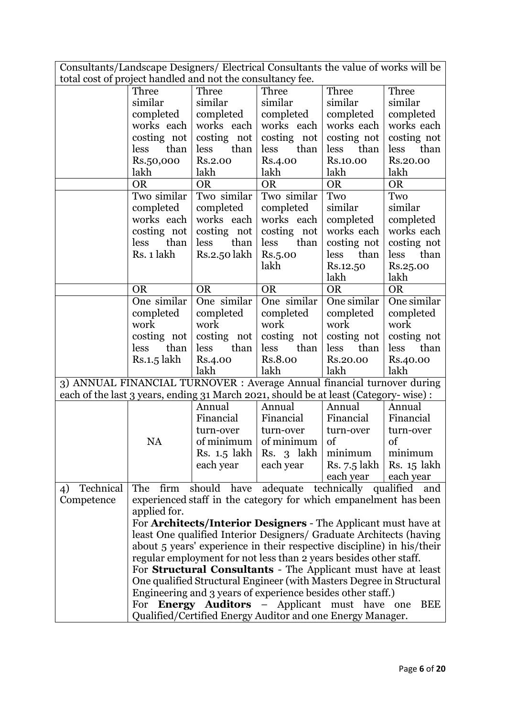Consultants/Landscape Designers/ Electrical Consultants the value of works will be total cost of project handled and not the consultancy fee.

| total cost of project nationed and not the consultancy ree.                         |                                                                        |              |                                                                      |              |                                |  |
|-------------------------------------------------------------------------------------|------------------------------------------------------------------------|--------------|----------------------------------------------------------------------|--------------|--------------------------------|--|
|                                                                                     | Three                                                                  | Three        | Three                                                                | Three        | Three                          |  |
|                                                                                     | similar                                                                | similar      | similar                                                              | similar      | similar                        |  |
|                                                                                     | completed                                                              | completed    | completed                                                            | completed    | completed                      |  |
|                                                                                     | works each                                                             | works each   | works each                                                           | works each   | works each                     |  |
|                                                                                     | costing not                                                            | costing not  | costing not                                                          | costing not  | costing not                    |  |
|                                                                                     | than<br>less                                                           | less<br>than | than<br>less                                                         | less<br>than | less<br>than                   |  |
|                                                                                     | Rs.50,000                                                              | Rs.2.00      | Rs.4.00                                                              | Rs.10.00     | Rs.20.00                       |  |
|                                                                                     | lakh                                                                   | lakh         | lakh                                                                 | lakh         | lakh                           |  |
|                                                                                     | <b>OR</b>                                                              | <b>OR</b>    | <b>OR</b>                                                            | <b>OR</b>    | <b>OR</b>                      |  |
|                                                                                     | Two similar                                                            | Two similar  | Two similar                                                          | Two          | Two                            |  |
|                                                                                     | completed                                                              | completed    | completed                                                            | similar      | similar                        |  |
|                                                                                     | works each                                                             | works each   | works each                                                           | completed    | completed                      |  |
|                                                                                     | costing not                                                            | costing not  | costing not                                                          | works each   | works each                     |  |
|                                                                                     | than<br>less                                                           | less<br>than | than<br>less                                                         | costing not  | costing not                    |  |
|                                                                                     | Rs. 1 lakh                                                             | Rs.2.50 lakh | Rs.5.00                                                              | than<br>less | than<br>less                   |  |
|                                                                                     |                                                                        |              | lakh                                                                 | Rs.12.50     | Rs.25.00                       |  |
|                                                                                     |                                                                        |              |                                                                      | lakh         | lakh                           |  |
|                                                                                     | <b>OR</b>                                                              | <b>OR</b>    | <b>OR</b>                                                            | <b>OR</b>    | <b>OR</b>                      |  |
|                                                                                     | One similar                                                            | One similar  | One similar                                                          | One similar  | One similar                    |  |
|                                                                                     | completed                                                              | completed    | completed                                                            | completed    | completed                      |  |
|                                                                                     | work                                                                   | work         | work                                                                 | work         | work                           |  |
|                                                                                     | costing not                                                            | costing not  | costing not                                                          | costing not  | costing not                    |  |
|                                                                                     | than<br>less                                                           | than<br>less | than<br>less                                                         | than<br>less | than<br>less                   |  |
|                                                                                     | Rs.1.5 lakh                                                            | Rs.4.00      | Rs.8.00                                                              | Rs.20.00     | Rs.40.00                       |  |
|                                                                                     |                                                                        | lakh         | lakh                                                                 | lakh         | lakh                           |  |
| 3) ANNUAL FINANCIAL TURNOVER : Average Annual financial turnover during             |                                                                        |              |                                                                      |              |                                |  |
| each of the last 3 years, ending 31 March 2021, should be at least (Category-wise): |                                                                        |              |                                                                      |              |                                |  |
|                                                                                     |                                                                        | Annual       | Annual                                                               | Annual       | Annual                         |  |
|                                                                                     |                                                                        | Financial    | Financial                                                            | Financial    | Financial                      |  |
|                                                                                     |                                                                        | turn-over    | turn-over                                                            | turn-over    | turn-over                      |  |
|                                                                                     | <b>NA</b>                                                              | of minimum   | of minimum                                                           | of           | of                             |  |
|                                                                                     |                                                                        | Rs. 1.5 lakh | Rs. 3 lakh                                                           | minimum      | minimum                        |  |
|                                                                                     |                                                                        | each year    | each year                                                            |              | Rs. $7.5$ lakh   Rs. $15$ lakh |  |
|                                                                                     |                                                                        |              |                                                                      | each year    | each year                      |  |
| Technical<br>4)                                                                     | The firm                                                               |              | should have adequate technically qualified                           |              | and                            |  |
| Competence                                                                          |                                                                        |              | experienced staff in the category for which empanelment has been     |              |                                |  |
|                                                                                     | applied for.                                                           |              |                                                                      |              |                                |  |
|                                                                                     |                                                                        |              | For Architects/Interior Designers - The Applicant must have at       |              |                                |  |
|                                                                                     |                                                                        |              | least One qualified Interior Designers/ Graduate Architects (having  |              |                                |  |
|                                                                                     | about 5 years' experience in their respective discipline) in his/their |              |                                                                      |              |                                |  |
|                                                                                     |                                                                        |              | regular employment for not less than 2 years besides other staff.    |              |                                |  |
|                                                                                     | For Structural Consultants - The Applicant must have at least          |              |                                                                      |              |                                |  |
|                                                                                     |                                                                        |              | One qualified Structural Engineer (with Masters Degree in Structural |              |                                |  |
|                                                                                     |                                                                        |              | Engineering and 3 years of experience besides other staff.)          |              |                                |  |
|                                                                                     |                                                                        |              | For <b>Energy Auditors</b> - Applicant must have one                 |              | <b>BEE</b>                     |  |
|                                                                                     | Qualified/Certified Energy Auditor and one Energy Manager.             |              |                                                                      |              |                                |  |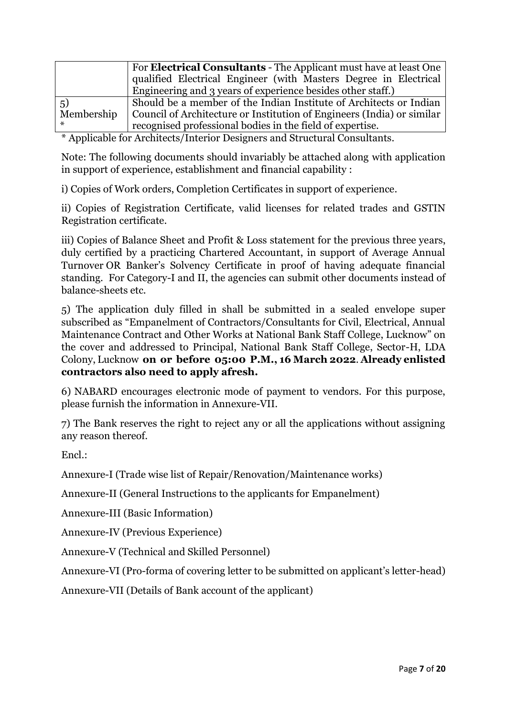|            | For <b>Electrical Consultants</b> - The Applicant must have at least One |
|------------|--------------------------------------------------------------------------|
|            | qualified Electrical Engineer (with Masters Degree in Electrical         |
|            | Engineering and 3 years of experience besides other staff.)              |
| 5)         | Should be a member of the Indian Institute of Architects or Indian       |
| Membership | Council of Architecture or Institution of Engineers (India) or similar   |
|            | recognised professional bodies in the field of expertise.                |

\* Applicable for Architects/Interior Designers and Structural Consultants.

Note: The following documents should invariably be attached along with application in support of experience, establishment and financial capability :

i) Copies of Work orders, Completion Certificates in support of experience.

ii) Copies of Registration Certificate, valid licenses for related trades and GSTIN Registration certificate.

iii) Copies of Balance Sheet and Profit & Loss statement for the previous three years, duly certified by a practicing Chartered Accountant, in support of Average Annual Turnover OR Banker's Solvency Certificate in proof of having adequate financial standing. For Category-I and II, the agencies can submit other documents instead of balance-sheets etc.

5) The application duly filled in shall be submitted in a sealed envelope super subscribed as "Empanelment of Contractors/Consultants for Civil, Electrical, Annual Maintenance Contract and Other Works at National Bank Staff College, Lucknow" on the cover and addressed to Principal, National Bank Staff College, Sector-H, LDA Colony, Lucknow **on or before 05:00 P.M., 16 March 2022**. **Already enlisted contractors also need to apply afresh.**

6) NABARD encourages electronic mode of payment to vendors. For this purpose, please furnish the information in Annexure-VII.

7) The Bank reserves the right to reject any or all the applications without assigning any reason thereof.

 $End:$ 

Annexure-I (Trade wise list of Repair/Renovation/Maintenance works)

Annexure-II (General Instructions to the applicants for Empanelment)

Annexure-III (Basic Information)

Annexure-IV (Previous Experience)

Annexure-V (Technical and Skilled Personnel)

Annexure-VI (Pro-forma of covering letter to be submitted on applicant's letter-head)

Annexure-VII (Details of Bank account of the applicant)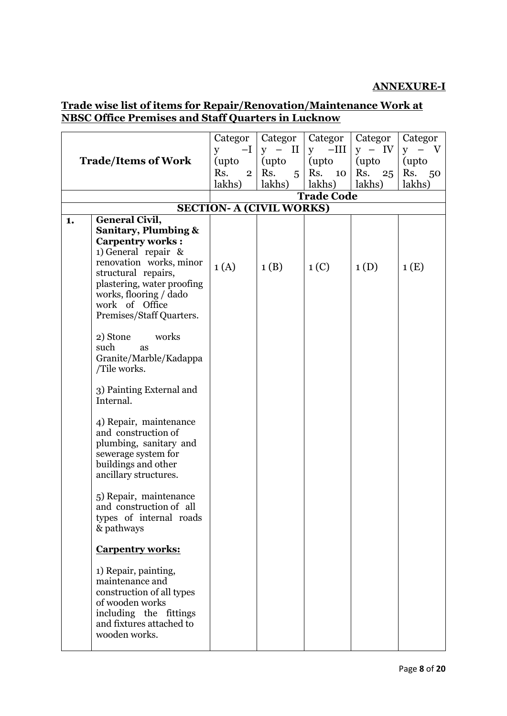#### **ANNEXURE-I**

## **Trade wise list of items for Repair/Renovation/Maintenance Work at NBSC Office Premises and Staff Quarters in Lucknow**

|    |                                                    | Categor                         | Categor                                   | Categor             | Categor   | Categor |
|----|----------------------------------------------------|---------------------------------|-------------------------------------------|---------------------|-----------|---------|
|    |                                                    | $-I$<br>y                       | $\rm II$<br>$\overline{\phantom{m}}$<br>y | $-III$<br>${\bf y}$ | $y - IV$  | y       |
|    | <b>Trade/Items of Work</b>                         | (upto                           | (upto)                                    | (upto               | (upto)    | (upto)  |
|    |                                                    | Rs.<br>$\overline{2}$           | Rs.<br>5                                  | Rs.<br>10           | Rs.<br>25 | Rs. 50  |
|    |                                                    | lakhs)                          | lakhs)                                    | lakhs)              | lakhs)    | lakhs)  |
|    |                                                    |                                 |                                           | <b>Trade Code</b>   |           |         |
|    |                                                    | <b>SECTION- A (CIVIL WORKS)</b> |                                           |                     |           |         |
| 1. | <b>General Civil,</b>                              |                                 |                                           |                     |           |         |
|    | <b>Sanitary, Plumbing &amp;</b>                    |                                 |                                           |                     |           |         |
|    | <b>Carpentry works:</b>                            |                                 |                                           |                     |           |         |
|    | 1) General repair &                                |                                 |                                           |                     |           |         |
|    | renovation works, minor                            | 1(A)                            | 1(B)                                      | 1 <sub>(C)</sub>    | 1(D)      | 1(E)    |
|    | structural repairs,                                |                                 |                                           |                     |           |         |
|    | plastering, water proofing                         |                                 |                                           |                     |           |         |
|    | works, flooring / dado<br>work of Office           |                                 |                                           |                     |           |         |
|    | Premises/Staff Quarters.                           |                                 |                                           |                     |           |         |
|    |                                                    |                                 |                                           |                     |           |         |
|    | works<br>2) Stone                                  |                                 |                                           |                     |           |         |
|    | such<br>as                                         |                                 |                                           |                     |           |         |
|    | Granite/Marble/Kadappa                             |                                 |                                           |                     |           |         |
|    | /Tile works.                                       |                                 |                                           |                     |           |         |
|    |                                                    |                                 |                                           |                     |           |         |
|    | 3) Painting External and                           |                                 |                                           |                     |           |         |
|    | Internal.                                          |                                 |                                           |                     |           |         |
|    | 4) Repair, maintenance                             |                                 |                                           |                     |           |         |
|    | and construction of                                |                                 |                                           |                     |           |         |
|    | plumbing, sanitary and                             |                                 |                                           |                     |           |         |
|    | sewerage system for                                |                                 |                                           |                     |           |         |
|    | buildings and other                                |                                 |                                           |                     |           |         |
|    | ancillary structures.                              |                                 |                                           |                     |           |         |
|    |                                                    |                                 |                                           |                     |           |         |
|    | 5) Repair, maintenance                             |                                 |                                           |                     |           |         |
|    | and construction of all<br>types of internal roads |                                 |                                           |                     |           |         |
|    | & pathways                                         |                                 |                                           |                     |           |         |
|    |                                                    |                                 |                                           |                     |           |         |
|    | <b>Carpentry works:</b>                            |                                 |                                           |                     |           |         |
|    | 1) Repair, painting,                               |                                 |                                           |                     |           |         |
|    | maintenance and                                    |                                 |                                           |                     |           |         |
|    | construction of all types                          |                                 |                                           |                     |           |         |
|    | of wooden works                                    |                                 |                                           |                     |           |         |
|    | including the fittings<br>and fixtures attached to |                                 |                                           |                     |           |         |
|    | wooden works.                                      |                                 |                                           |                     |           |         |
|    |                                                    |                                 |                                           |                     |           |         |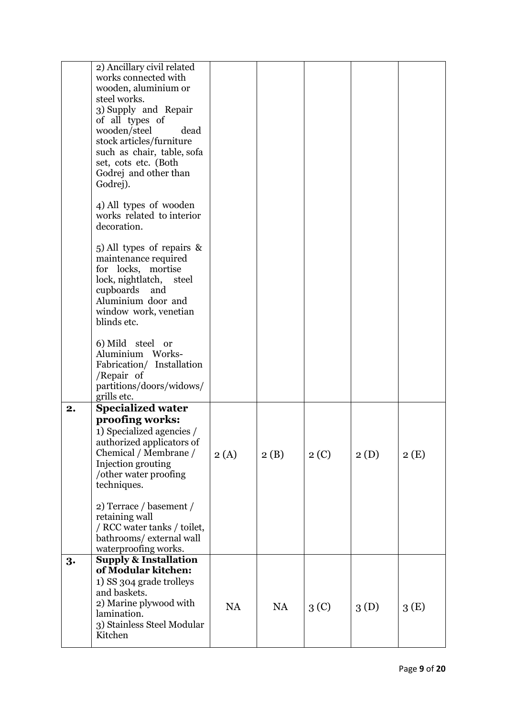|    | 2) Ancillary civil related<br>works connected with<br>wooden, aluminium or<br>steel works.<br>3) Supply and Repair<br>of all types of<br>wooden/steel<br>dead<br>stock articles/furniture<br>such as chair, table, sofa<br>set, cots etc. (Both<br>Godrej and other than<br>Godrej). |           |           |                  |      |      |
|----|--------------------------------------------------------------------------------------------------------------------------------------------------------------------------------------------------------------------------------------------------------------------------------------|-----------|-----------|------------------|------|------|
|    | 4) All types of wooden<br>works related to interior<br>decoration.                                                                                                                                                                                                                   |           |           |                  |      |      |
|    | 5) All types of repairs &<br>maintenance required<br>for locks, mortise<br>lock, nightlatch,<br>steel<br>cupboards<br>and<br>Aluminium door and<br>window work, venetian<br>blinds etc.                                                                                              |           |           |                  |      |      |
|    | 6) Mild steel or<br>Aluminium Works-<br>Fabrication/ Installation<br>/Repair of<br>partitions/doors/widows/<br>grills etc.                                                                                                                                                           |           |           |                  |      |      |
| 2. | <b>Specialized water</b><br>proofing works:<br>1) Specialized agencies /<br>authorized applicators of<br>Chemical / Membrane /<br>Injection grouting<br>/other water proofing<br>techniques.                                                                                         | 2(A)      | 2(B)      | 2(C)             | 2(D) | 2(E) |
|    | 2) Terrace / basement /<br>retaining wall<br>/ RCC water tanks / toilet,<br>bathrooms/external wall<br>waterproofing works.                                                                                                                                                          |           |           |                  |      |      |
| 3. | <b>Supply &amp; Installation</b><br>of Modular kitchen:<br>1) SS 304 grade trolleys<br>and baskets.<br>2) Marine plywood with<br>lamination.<br>3) Stainless Steel Modular<br>Kitchen                                                                                                | <b>NA</b> | <b>NA</b> | 3 <sup>(C)</sup> | 3(D) | 3(E) |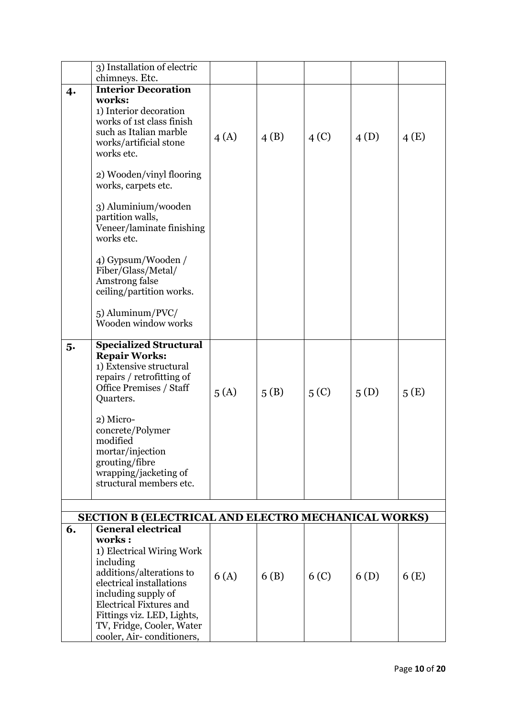|    | 3) Installation of electric                             |      |      |                  |      |      |
|----|---------------------------------------------------------|------|------|------------------|------|------|
|    | chimneys. Etc.                                          |      |      |                  |      |      |
|    | <b>Interior Decoration</b>                              |      |      |                  |      |      |
| 4. | works:                                                  |      |      |                  |      |      |
|    | 1) Interior decoration                                  |      |      |                  |      |      |
|    | works of 1st class finish                               |      |      |                  |      |      |
|    | such as Italian marble                                  |      |      |                  |      |      |
|    | works/artificial stone                                  | 4(A) | 4(B) | 4 <sup>(C)</sup> | 4(D) | 4(E) |
|    | works etc.                                              |      |      |                  |      |      |
|    |                                                         |      |      |                  |      |      |
|    | 2) Wooden/vinyl flooring                                |      |      |                  |      |      |
|    | works, carpets etc.                                     |      |      |                  |      |      |
|    |                                                         |      |      |                  |      |      |
|    | 3) Aluminium/wooden                                     |      |      |                  |      |      |
|    | partition walls,                                        |      |      |                  |      |      |
|    | Veneer/laminate finishing<br>works etc.                 |      |      |                  |      |      |
|    |                                                         |      |      |                  |      |      |
|    | 4) Gypsum/Wooden /                                      |      |      |                  |      |      |
|    | Fiber/Glass/Metal/                                      |      |      |                  |      |      |
|    | Amstrong false                                          |      |      |                  |      |      |
|    | ceiling/partition works.                                |      |      |                  |      |      |
|    |                                                         |      |      |                  |      |      |
|    | 5) Aluminum/PVC/                                        |      |      |                  |      |      |
|    | Wooden window works                                     |      |      |                  |      |      |
|    |                                                         |      |      |                  |      |      |
| 5. | <b>Specialized Structural</b><br><b>Repair Works:</b>   |      |      |                  |      |      |
|    | 1) Extensive structural                                 |      |      |                  |      |      |
|    | repairs / retrofitting of                               |      |      |                  |      |      |
|    | <b>Office Premises / Staff</b>                          |      |      |                  |      |      |
|    | Quarters.                                               | 5(A) | 5(B) | 5 <sub>(C)</sub> | 5(D) | 5(E) |
|    |                                                         |      |      |                  |      |      |
|    | 2) Micro-                                               |      |      |                  |      |      |
|    | concrete/Polymer                                        |      |      |                  |      |      |
|    | modified                                                |      |      |                  |      |      |
|    | mortar/injection                                        |      |      |                  |      |      |
|    | grouting/fibre                                          |      |      |                  |      |      |
|    | wrapping/jacketing of<br>structural members etc.        |      |      |                  |      |      |
|    |                                                         |      |      |                  |      |      |
|    |                                                         |      |      |                  |      |      |
|    | SECTION B (ELECTRICAL AND ELECTRO MECHANICAL WORKS)     |      |      |                  |      |      |
| 6. | <b>General electrical</b>                               |      |      |                  |      |      |
|    | works:                                                  |      |      |                  |      |      |
|    | 1) Electrical Wiring Work                               |      |      |                  |      |      |
|    | including                                               |      |      |                  |      |      |
|    | additions/alterations to                                | 6(A) | 6(B) | 6 <sub>(C)</sub> | 6(D) | 6(E) |
|    | electrical installations                                |      |      |                  |      |      |
|    | including supply of                                     |      |      |                  |      |      |
|    | <b>Electrical Fixtures and</b>                          |      |      |                  |      |      |
|    | Fittings viz. LED, Lights,<br>TV, Fridge, Cooler, Water |      |      |                  |      |      |
|    | cooler, Air-conditioners,                               |      |      |                  |      |      |
|    |                                                         |      |      |                  |      |      |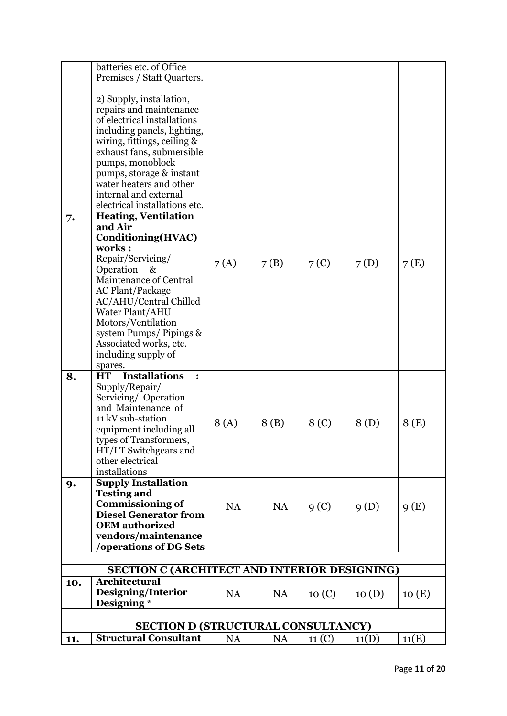|     | batteries etc. of Office                            |           |           |                  |       |       |
|-----|-----------------------------------------------------|-----------|-----------|------------------|-------|-------|
|     | Premises / Staff Quarters.                          |           |           |                  |       |       |
|     |                                                     |           |           |                  |       |       |
|     | 2) Supply, installation,                            |           |           |                  |       |       |
|     | repairs and maintenance                             |           |           |                  |       |       |
|     | of electrical installations                         |           |           |                  |       |       |
|     | including panels, lighting,                         |           |           |                  |       |       |
|     | wiring, fittings, ceiling &                         |           |           |                  |       |       |
|     | exhaust fans, submersible                           |           |           |                  |       |       |
|     | pumps, monoblock                                    |           |           |                  |       |       |
|     | pumps, storage & instant                            |           |           |                  |       |       |
|     | water heaters and other                             |           |           |                  |       |       |
|     | internal and external                               |           |           |                  |       |       |
|     | electrical installations etc.                       |           |           |                  |       |       |
| 7.  | <b>Heating, Ventilation</b>                         |           |           |                  |       |       |
|     | and Air                                             |           |           |                  |       |       |
|     | Conditioning(HVAC)                                  |           |           |                  |       |       |
|     | works:                                              |           |           |                  |       |       |
|     | Repair/Servicing/                                   | 7(A)      | 7(B)      | 7 <sub>(C)</sub> | 7(D)  | 7(E)  |
|     | Operation &<br>Maintenance of Central               |           |           |                  |       |       |
|     | <b>AC Plant/Package</b>                             |           |           |                  |       |       |
|     | AC/AHU/Central Chilled                              |           |           |                  |       |       |
|     | Water Plant/AHU                                     |           |           |                  |       |       |
|     | Motors/Ventilation                                  |           |           |                  |       |       |
|     | system Pumps/Pipings &                              |           |           |                  |       |       |
|     | Associated works, etc.                              |           |           |                  |       |       |
|     | including supply of                                 |           |           |                  |       |       |
|     | spares.                                             |           |           |                  |       |       |
| 8.  | <b>Installations</b><br><b>HT</b><br>$\ddot{\cdot}$ |           |           |                  |       |       |
|     | Supply/Repair/                                      |           |           |                  |       |       |
|     | Servicing/Operation                                 |           |           |                  |       |       |
|     | and Maintenance of                                  |           |           |                  |       |       |
|     | 11 kV sub-station                                   | 8(A)      | 8(B)      | 8 <sub>(C)</sub> | 8(D)  | 8(E)  |
|     | equipment including all                             |           |           |                  |       |       |
|     | types of Transformers                               |           |           |                  |       |       |
|     | HT/LT Switchgears and                               |           |           |                  |       |       |
|     | other electrical<br>installations                   |           |           |                  |       |       |
|     | <b>Supply Installation</b>                          |           |           |                  |       |       |
| 9.  | <b>Testing and</b>                                  |           |           |                  |       |       |
|     | <b>Commissioning of</b>                             |           |           |                  |       |       |
|     | <b>Diesel Generator from</b>                        | <b>NA</b> | <b>NA</b> | 9 <sub>(C)</sub> | 9(D)  | 9(E)  |
|     | <b>OEM</b> authorized                               |           |           |                  |       |       |
|     | vendors/maintenance                                 |           |           |                  |       |       |
|     | <b>'operations of DG Sets</b>                       |           |           |                  |       |       |
|     |                                                     |           |           |                  |       |       |
|     | SECTION C (ARCHITECT AND INTERIOR DESIGNING)        |           |           |                  |       |       |
| 10. | <b>Architectural</b>                                |           |           |                  |       |       |
|     | Designing/Interior                                  | NA        | <b>NA</b> | 10(C)            | 10(D) | 10(E) |
|     | Designing*                                          |           |           |                  |       |       |
|     |                                                     |           |           |                  |       |       |
|     | <b>SECTION D (STRUCTURAL CONSULTANCY)</b>           |           |           |                  |       |       |
| 11. | <b>Structural Consultant</b>                        | <b>NA</b> | <b>NA</b> | 11 (C)           | 11(D) | 11(E) |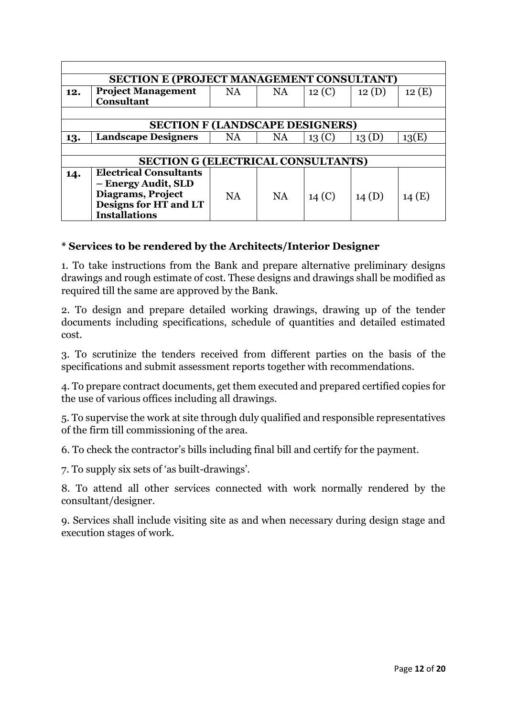|     | <b>SECTION E (PROJECT MANAGEMENT CONSULTANT)</b> |           |           |                   |       |       |
|-----|--------------------------------------------------|-----------|-----------|-------------------|-------|-------|
| 12. | <b>Project Management</b>                        | <b>NA</b> | <b>NA</b> | 12 (C)            | 12(D) | 12(E) |
|     | <b>Consultant</b>                                |           |           |                   |       |       |
|     |                                                  |           |           |                   |       |       |
|     | <b>SECTION F (LANDSCAPE DESIGNERS)</b>           |           |           |                   |       |       |
| 13. | <b>Landscape Designers</b>                       | NA        | <b>NA</b> | 13 <sub>(C)</sub> | 13(D) | 13(E) |
|     |                                                  |           |           |                   |       |       |
|     | <b>SECTION G (ELECTRICAL CONSULTANTS)</b>        |           |           |                   |       |       |
| 14. | <b>Electrical Consultants</b>                    |           |           |                   |       |       |
|     | - Energy Audit, SLD                              |           |           |                   |       |       |
|     | Diagrams, Project                                | <b>NA</b> | <b>NA</b> | 14 <sup>(C)</sup> | 14(D) | 14(E) |
|     | Designs for HT and LT                            |           |           |                   |       |       |
|     | <b>Installations</b>                             |           |           |                   |       |       |

### **\* Services to be rendered by the Architects/Interior Designer**

1. To take instructions from the Bank and prepare alternative preliminary designs drawings and rough estimate of cost. These designs and drawings shall be modified as required till the same are approved by the Bank.

2. To design and prepare detailed working drawings, drawing up of the tender documents including specifications, schedule of quantities and detailed estimated cost.

3. To scrutinize the tenders received from different parties on the basis of the specifications and submit assessment reports together with recommendations.

4. To prepare contract documents, get them executed and prepared certified copies for the use of various offices including all drawings.

5. To supervise the work at site through duly qualified and responsible representatives of the firm till commissioning of the area.

6. To check the contractor's bills including final bill and certify for the payment.

7. To supply six sets of 'as built-drawings'.

8. To attend all other services connected with work normally rendered by the consultant/designer.

9. Services shall include visiting site as and when necessary during design stage and execution stages of work.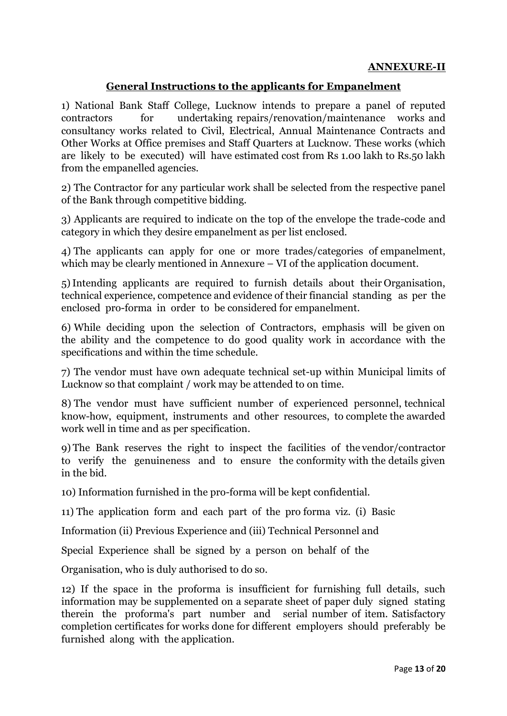#### **ANNEXURE-II**

#### **General Instructions to the applicants for Empanelment**

1) National Bank Staff College, Lucknow intends to prepare a panel of reputed contractors for undertaking repairs/renovation/maintenance works and consultancy works related to Civil, Electrical, Annual Maintenance Contracts and Other Works at Office premises and Staff Quarters at Lucknow. These works (which are likely to be executed) will have estimated cost from Rs 1.00 lakh to Rs.50 lakh from the empanelled agencies.

2) The Contractor for any particular work shall be selected from the respective panel of the Bank through competitive bidding.

3) Applicants are required to indicate on the top of the envelope the trade-code and category in which they desire empanelment as per list enclosed.

4) The applicants can apply for one or more trades/categories of empanelment, which may be clearly mentioned in Annexure – VI of the application document.

5)Intending applicants are required to furnish details about their Organisation, technical experience, competence and evidence of their financial standing as per the enclosed pro-forma in order to be considered for empanelment.

6) While deciding upon the selection of Contractors, emphasis will be given on the ability and the competence to do good quality work in accordance with the specifications and within the time schedule.

7) The vendor must have own adequate technical set-up within Municipal limits of Lucknow so that complaint / work may be attended to on time.

8) The vendor must have sufficient number of experienced personnel, technical know-how, equipment, instruments and other resources, to complete the awarded work well in time and as per specification.

9) The Bank reserves the right to inspect the facilities of the vendor/contractor to verify the genuineness and to ensure the conformity with the details given in the bid.

10) Information furnished in the pro-forma will be kept confidential.

11) The application form and each part of the pro forma viz. (i) Basic

Information (ii) Previous Experience and (iii) Technical Personnel and

Special Experience shall be signed by a person on behalf of the

Organisation, who is duly authorised to do so.

12) If the space in the proforma is insufficient for furnishing full details, such information may be supplemented on a separate sheet of paper duly signed stating therein the proforma's part number and serial number of item. Satisfactory completion certificates for works done for different employers should preferably be furnished along with the application.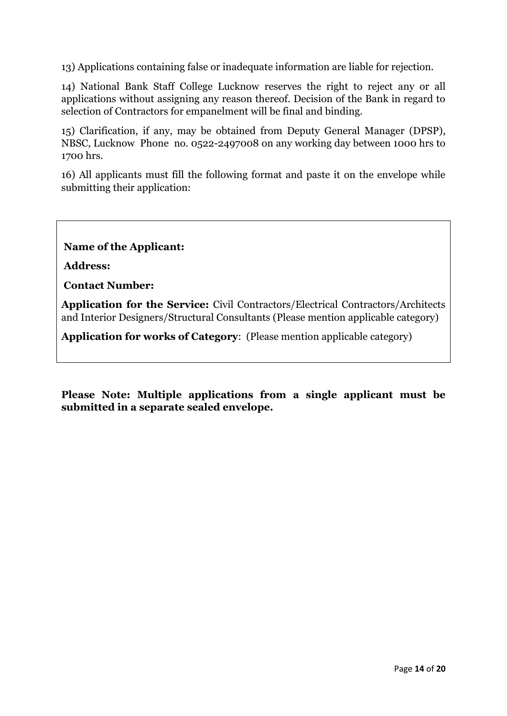13) Applications containing false or inadequate information are liable for rejection.

14) National Bank Staff College Lucknow reserves the right to reject any or all applications without assigning any reason thereof. Decision of the Bank in regard to selection of Contractors for empanelment will be final and binding.

15) Clarification, if any, may be obtained from Deputy General Manager (DPSP), NBSC, Lucknow Phone no. 0522-2497008 on any working day between 1000 hrs to 1700 hrs.

16) All applicants must fill the following format and paste it on the envelope while submitting their application:

**Name of the Applicant:** 

**Address:** 

**Contact Number:**

**Application for the Service:** Civil Contractors/Electrical Contractors/Architects and Interior Designers/Structural Consultants (Please mention applicable category)

**Application for works of Category**: (Please mention applicable category)

**Please Note: Multiple applications from a single applicant must be submitted in a separate sealed envelope.**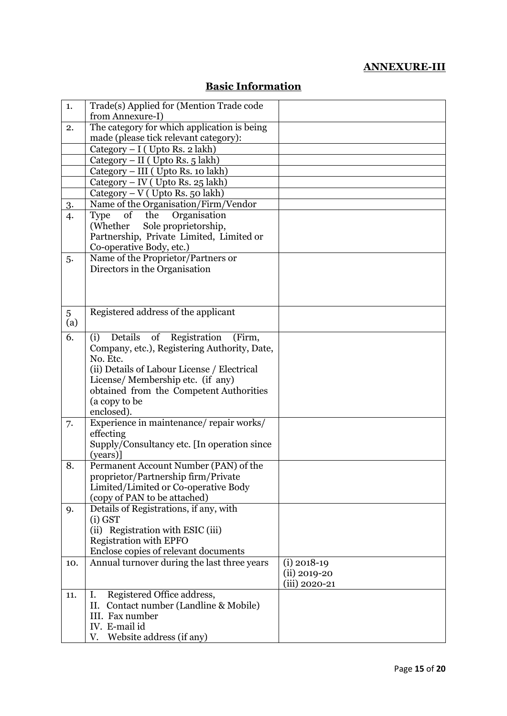# **ANNEXURE-III**

| 1.  | Trade(s) Applied for (Mention Trade code                               |                  |
|-----|------------------------------------------------------------------------|------------------|
|     | from Annexure-I)                                                       |                  |
| 2.  | The category for which application is being                            |                  |
|     | made (please tick relevant category):                                  |                  |
|     | Category $- I$ (Upto Rs. 2 lakh)                                       |                  |
|     | Category – II ( Upto Rs. $5 \overline{lakh}$ )                         |                  |
|     | Category - III ( Upto Rs. 10 lakh)                                     |                  |
|     | Category – IV (Upto Rs. 25 lakh)                                       |                  |
|     | $Category - V$ (Upto Rs. 50 lakh)                                      |                  |
| 3.  | Name of the Organisation/Firm/Vendor                                   |                  |
| 4.  | of the<br>Organisation<br><b>Type</b>                                  |                  |
|     | (Whether<br>Sole proprietorship,                                       |                  |
|     | Partnership, Private Limited, Limited or                               |                  |
|     | Co-operative Body, etc.)                                               |                  |
| 5.  | Name of the Proprietor/Partners or                                     |                  |
|     | Directors in the Organisation                                          |                  |
|     |                                                                        |                  |
|     |                                                                        |                  |
|     |                                                                        |                  |
| 5   | Registered address of the applicant                                    |                  |
| (a) |                                                                        |                  |
| 6.  | of Registration<br>(i)<br>Details<br>(Firm,                            |                  |
|     | Company, etc.), Registering Authority, Date,                           |                  |
|     | No. Etc.                                                               |                  |
|     | (ii) Details of Labour License / Electrical                            |                  |
|     | License/Membership etc. (if any)                                       |                  |
|     | obtained from the Competent Authorities                                |                  |
|     | (a copy to be                                                          |                  |
|     | enclosed).                                                             |                  |
| 7.  | Experience in maintenance/repair works/                                |                  |
|     | effecting                                                              |                  |
|     | Supply/Consultancy etc. [In operation since]                           |                  |
|     | (years)]                                                               |                  |
| 8.  | Permanent Account Number (PAN) of the                                  |                  |
|     | proprietor/Partnership firm/Private                                    |                  |
|     | Limited/Limited or Co-operative Body                                   |                  |
|     | (copy of PAN to be attached)<br>Details of Registrations, if any, with |                  |
| 9.  | $(i)$ GST                                                              |                  |
|     | (ii) Registration with ESIC (iii)                                      |                  |
|     | <b>Registration with EPFO</b>                                          |                  |
|     | Enclose copies of relevant documents                                   |                  |
| 10. | Annual turnover during the last three years                            | $(i)$ 2018-19    |
|     |                                                                        | $(ii) 2019 - 20$ |
|     |                                                                        | (iii) 2020-21    |
| 11. | Registered Office address,<br>Ι.                                       |                  |
|     | Contact number (Landline & Mobile)<br>П.                               |                  |
|     | III. Fax number                                                        |                  |
|     | IV. E-mail id                                                          |                  |
|     | Website address (if any)<br>V.                                         |                  |

# **Basic Information**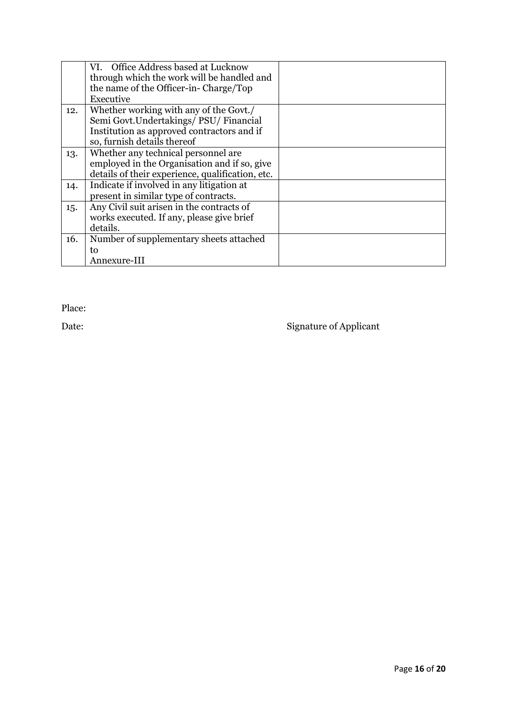|     | VI. Office Address based at Lucknow              |  |
|-----|--------------------------------------------------|--|
|     | through which the work will be handled and       |  |
|     | the name of the Officer-in-Charge/Top            |  |
|     | Executive                                        |  |
| 12. | Whether working with any of the Govt./           |  |
|     | Semi Govt. Undertakings/ PSU/ Financial          |  |
|     | Institution as approved contractors and if       |  |
|     | so, furnish details thereof                      |  |
| 13. | Whether any technical personnel are              |  |
|     | employed in the Organisation and if so, give     |  |
|     | details of their experience, qualification, etc. |  |
| 14. | Indicate if involved in any litigation at        |  |
|     | present in similar type of contracts.            |  |
| 15. | Any Civil suit arisen in the contracts of        |  |
|     | works executed. If any, please give brief        |  |
|     | details.                                         |  |
| 16. | Number of supplementary sheets attached          |  |
|     | to                                               |  |
|     | Annexure-III                                     |  |

Place:

Date: Signature of Applicant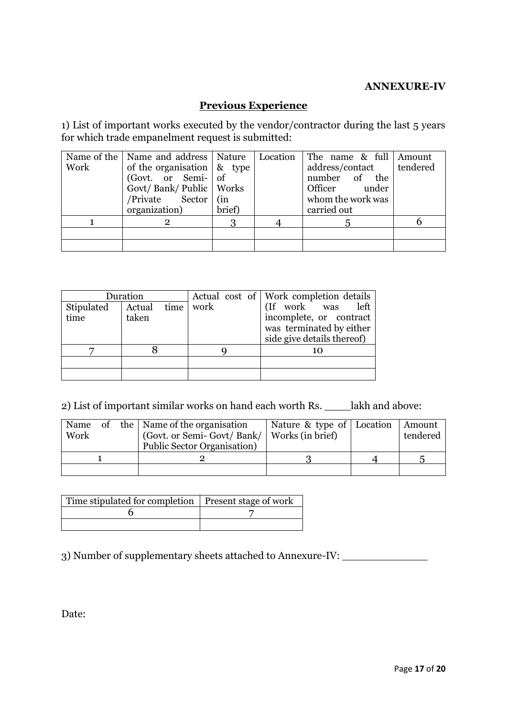#### **ANNEXURE-IV**

## **Previous Experience**

1) List of important works executed by the vendor/contractor during the last 5 years for which trade empanelment request is submitted:

|      | Name of the   Name and address   Nature                                            |        | Location   The name $\&$ full   Amount |  |
|------|------------------------------------------------------------------------------------|--------|----------------------------------------|--|
| Work | of the organisation $\left  \begin{array}{c} \alpha \\ \alpha \end{array} \right $ |        | address/contact   tendered             |  |
|      | (Govt. or Semi- of                                                                 |        | number of the                          |  |
|      | Govt/Bank/Public   Works                                                           |        | Officer under                          |  |
|      | /Private Sector   (in                                                              |        | whom the work was                      |  |
|      | organization)                                                                      | brief) | carried out                            |  |
|      | 2                                                                                  |        | $\mathbf{b}$                           |  |
|      |                                                                                    |        |                                        |  |
|      |                                                                                    |        |                                        |  |

| Duration           |                      |      | Actual cost of Work completion details                                                                 |
|--------------------|----------------------|------|--------------------------------------------------------------------------------------------------------|
| Stipulated<br>time | Actual time<br>taken | work | (If work was left<br>incomplete, or contract<br>was terminated by either<br>side give details thereof) |
|                    |                      |      | 10                                                                                                     |
|                    |                      |      |                                                                                                        |
|                    |                      |      |                                                                                                        |

2) List of important similar works on hand each worth Rs. \_\_\_\_lakh and above:

| Name<br>Work |  | of the   Name of the organisation<br>(Govt. or Semi-Govt/Bank/   Works (in brief)<br>Public Sector Organisation) | Nature & type of Location | Amount<br>tendered |
|--------------|--|------------------------------------------------------------------------------------------------------------------|---------------------------|--------------------|
|              |  |                                                                                                                  |                           |                    |
|              |  |                                                                                                                  |                           |                    |

| Time stipulated for completion   Present stage of work |  |
|--------------------------------------------------------|--|
|                                                        |  |
|                                                        |  |

3) Number of supplementary sheets attached to Annexure-IV: \_\_\_\_\_\_\_\_\_\_\_\_\_\_\_\_\_\_\_\_\_

Date: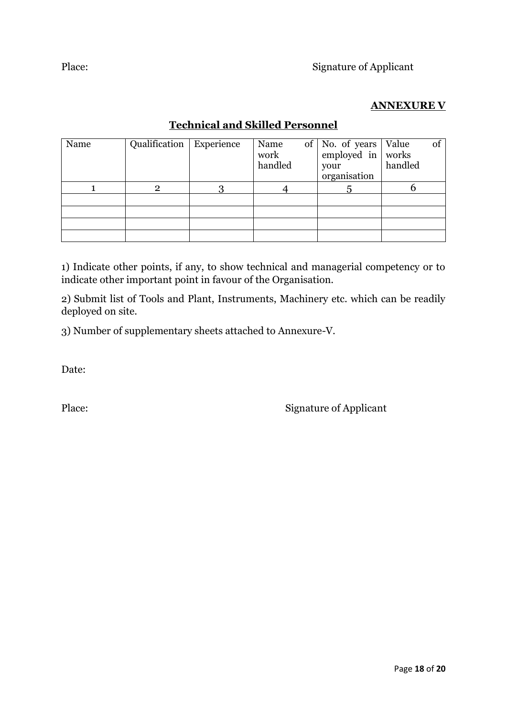## **ANNEXURE V**

# **Technical and Skilled Personnel**

| Name | Qualification   Experience | Name<br>work<br>handled | of   No. of years  <br>employed in works<br>your<br>organisation | Value<br>handled | of |
|------|----------------------------|-------------------------|------------------------------------------------------------------|------------------|----|
|      | 2                          |                         |                                                                  |                  |    |
|      |                            |                         |                                                                  |                  |    |
|      |                            |                         |                                                                  |                  |    |
|      |                            |                         |                                                                  |                  |    |
|      |                            |                         |                                                                  |                  |    |

1) Indicate other points, if any, to show technical and managerial competency or to indicate other important point in favour of the Organisation.

2) Submit list of Tools and Plant, Instruments, Machinery etc. which can be readily deployed on site.

3) Number of supplementary sheets attached to Annexure-V.

Date:

Place: Signature of Applicant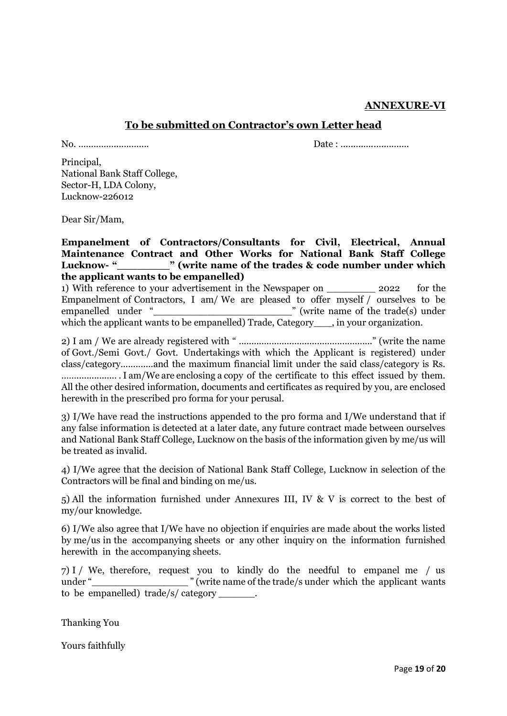#### **ANNEXURE-VI**

#### **To be submitted on Contractor's own Letter head**

No. ............................ Date : ...........................

Principal, National Bank Staff College, Sector-H, LDA Colony, Lucknow-226012

Dear Sir/Mam,

**Empanelment of Contractors/Consultants for Civil, Electrical, Annual Maintenance Contract and Other Works for National Bank Staff College**  Lucknow- "<br>**The absolute is the trades & code number under which the applicant wants to be empanelled)**

1) With reference to your advertisement in the Newspaper on 2022 for the Empanelment of Contractors, I am/ We are pleased to offer myself / ourselves to be empanelled under "\_\_\_\_\_\_\_\_\_\_\_\_\_\_\_\_\_\_\_\_\_\_\_" (write name of the trade(s) under which the applicant wants to be empanelled) Trade, Category . in your organization.

2) I am / We are already registered with " ....................................................." (write the name of Govt./Semi Govt./ Govt. Undertakings with which the Applicant is registered) under class/category.............and the maximum financial limit under the said class/category is Rs. ……................ . I am/We are enclosing a copy of the certificate to this effect issued by them. All the other desired information, documents and certificates as required by you, are enclosed herewith in the prescribed pro forma for your perusal.

3) I/We have read the instructions appended to the pro forma and I/We understand that if any false information is detected at a later date, any future contract made between ourselves and National Bank Staff College, Lucknow on the basis of the information given by me/us will be treated as invalid.

4) I/We agree that the decision of National Bank Staff College, Lucknow in selection of the Contractors will be final and binding on me/us.

5) All the information furnished under Annexures III, IV & V is correct to the best of my/our knowledge.

6) I/We also agree that I/We have no objection if enquiries are made about the works listed by me/us in the accompanying sheets or any other inquiry on the information furnished herewith in the accompanying sheets.

7) I / We, therefore, request you to kindly do the needful to empanel me / us under " write name of the trade/s under which the applicant wants to be empanelled) trade/s/ category \_\_\_\_\_\_.

Thanking You

Yours faithfully